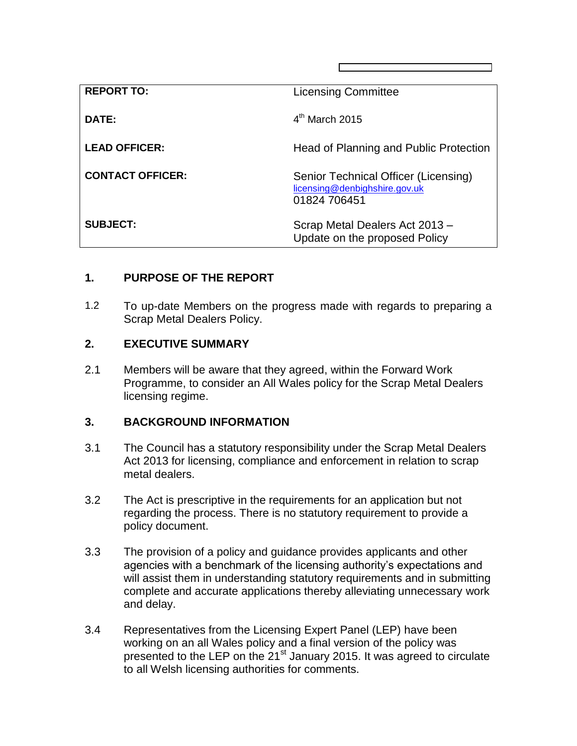| <b>REPORT TO:</b>       | <b>Licensing Committee</b>                                                            |
|-------------------------|---------------------------------------------------------------------------------------|
| DATE:                   | $4th$ March 2015                                                                      |
| <b>LEAD OFFICER:</b>    | Head of Planning and Public Protection                                                |
| <b>CONTACT OFFICER:</b> | Senior Technical Officer (Licensing)<br>licensing@denbighshire.gov.uk<br>01824 706451 |
| <b>SUBJECT:</b>         | Scrap Metal Dealers Act 2013 -<br>Update on the proposed Policy                       |

## **1. PURPOSE OF THE REPORT**

1.2 To up-date Members on the progress made with regards to preparing a Scrap Metal Dealers Policy.

## **2. EXECUTIVE SUMMARY**

2.1 Members will be aware that they agreed, within the Forward Work Programme, to consider an All Wales policy for the Scrap Metal Dealers licensing regime.

## **3. BACKGROUND INFORMATION**

- 3.1 The Council has a statutory responsibility under the Scrap Metal Dealers Act 2013 for licensing, compliance and enforcement in relation to scrap metal dealers.
- 3.2 The Act is prescriptive in the requirements for an application but not regarding the process. There is no statutory requirement to provide a policy document.
- 3.3 The provision of a policy and guidance provides applicants and other agencies with a benchmark of the licensing authority's expectations and will assist them in understanding statutory requirements and in submitting complete and accurate applications thereby alleviating unnecessary work and delay.
- 3.4 Representatives from the Licensing Expert Panel (LEP) have been working on an all Wales policy and a final version of the policy was presented to the LEP on the 21<sup>st</sup> January 2015. It was agreed to circulate to all Welsh licensing authorities for comments.